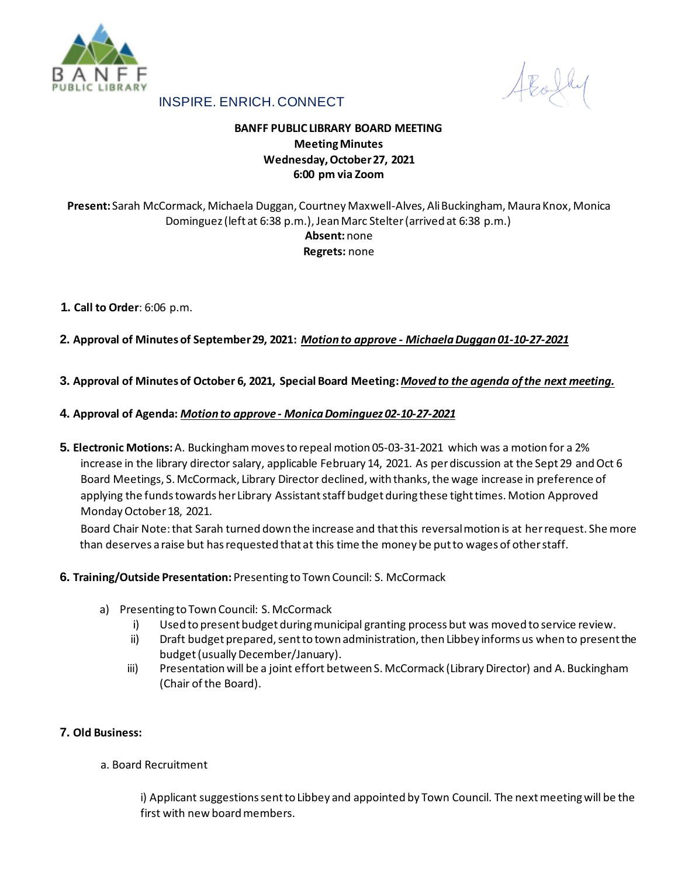

AEoly

# INSPIRE. ENRICH. CONNECT

# **BANFF PUBLIC LIBRARY BOARD MEETING Meeting Minutes Wednesday, October 27, 2021 6:00 pm via Zoom**

# **Present:** Sarah McCormack, Michaela Duggan, Courtney Maxwell-Alves, Ali Buckingham, Maura Knox, Monica Dominguez (left at 6:38 p.m.), Jean Marc Stelter (arrived at 6:38 p.m.) **Absent:** none **Regrets:** none

## **1. Call to Order**: 6:06 p.m.

**2. Approval of Minutes of September 29, 2021:** *Motion to approve - Michaela Duggan 01-10-27-2021*

## **3. Approval of Minutes of October 6, 2021, Special Board Meeting:***Moved to the agenda of the next meeting.*

### **4. Approval of Agenda:** *Motion to approve - Monica Dominguez 02-10-27-2021*

**5. Electronic Motions:** A. Buckinghammoves to repeal motion 05-03-31-2021 which was a motion for a 2% increase in the library director salary, applicable February 14, 2021. As per discussion at the Sept 29 and Oct 6 Board Meetings, S. McCormack, Library Director declined, with thanks, the wage increase in preference of applying the funds towards her Library Assistant staff budget during these tight times. Motion Approved Monday October 18, 2021.

Board Chair Note: that Sarah turned down the increase and that this reversal motion is at her request. She more than deserves a raise but has requested that at this time the money be put to wages of other staff.

### **6. Training/Outside Presentation:** Presenting to Town Council: S. McCormack

- a) Presenting to Town Council: S. McCormack
	- i) Used to present budget during municipal granting process but was moved to service review.
	- ii) Draft budget prepared, sent to town administration, then Libbey informs us when to present the budget (usually December/January).
	- iii) Presentation will be a joint effort between S. McCormack (Library Director) and A. Buckingham (Chair of the Board).

### **7. Old Business:**

a. Board Recruitment

i) Applicant suggestions sent to Libbey and appointed by Town Council. The next meeting will be the first with new board members.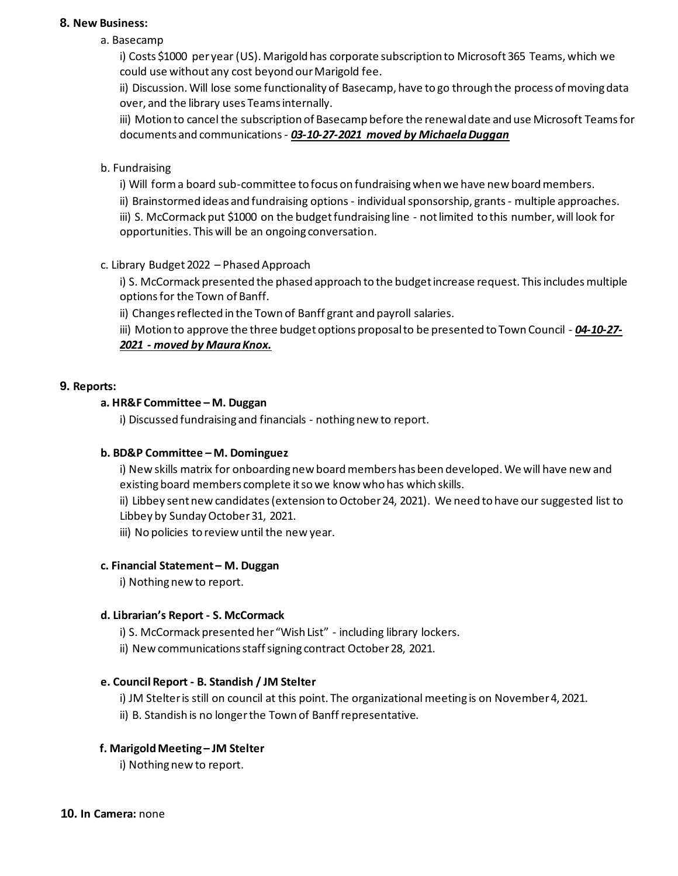### **8. New Business:**

a. Basecamp

i) Costs \$1000 per year (US). Marigold has corporate subscription to Microsoft 365 Teams, which we could use without any cost beyond our Marigold fee.

ii) Discussion. Will lose some functionality of Basecamp, have to go through the process of moving data over, and the library uses Teams internally.

iii) Motion to cancel the subscription of Basecamp before the renewal date and use Microsoft Teams for documents and communications - *03-10-27-2021 moved by Michaela Duggan*

## b. Fundraising

i) Will form a board sub-committee to focus on fundraising when we have new board members.

ii) Brainstormed ideas and fundraising options - individual sponsorship, grants - multiple approaches. iii) S. McCormack put \$1000 on the budget fundraising line - not limited to this number, will look for opportunities. This will be an ongoing conversation.

## c. Library Budget 2022 – Phased Approach

i) S. McCormack presented the phased approach to the budget increase request. This includes multiple options for the Town of Banff.

ii) Changes reflected in the Town of Banff grant and payroll salaries.

iii) Motion to approve the three budget options proposal to be presented to Town Council - *04-10-27- 2021 - moved by Maura Knox.*

### **9. Reports:**

### **a. HR&F Committee – M. Duggan**

i) Discussed fundraising and financials - nothing new to report.

### **b. BD&P Committee – M. Dominguez**

i) New skills matrix for onboarding new board members has been developed. We will have new and existing board members complete it so we know who has which skills.

ii) Libbey sent new candidates (extension to October 24, 2021). We need to have our suggested list to Libbey by Sunday October 31, 2021.

iii) No policies to review until the new year.

### **c. Financial Statement – M. Duggan**

i) Nothing new to report.

### **d. Librarian's Report - S. McCormack**

i) S. McCormack presented her "Wish List" - including library lockers.

ii) New communications staff signing contract October 28, 2021.

## **e. Council Report - B. Standish / JM Stelter**

i) JM Stelter is still on council at this point. The organizational meeting is on November 4, 2021. ii) B. Standish is no longer the Town of Banff representative.

### **f. Marigold Meeting – JM Stelter**

i) Nothing new to report.